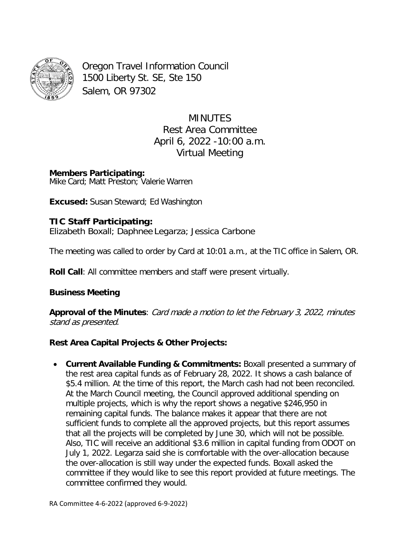

Oregon Travel Information Council 1500 Liberty St. SE, Ste 150 Salem, OR 97302

> MINUTES Rest Area Committee April 6, 2022 -10:00 a.m. Virtual Meeting

**Members Participating:** Mike Card; Matt Preston; Valerie Warren

**Excused:** Susan Steward; Ed Washington

# **TIC Staff Participating:**

Elizabeth Boxall; Daphnee Legarza; Jessica Carbone

The meeting was called to order by Card at 10:01 a.m., at the TIC office in Salem, OR.

**Roll Call**: All committee members and staff were present virtually.

### **Business Meeting**

**Approval of the Minutes**: Card made <sup>a</sup> motion to let the February 3, 2022, minutes stand as presented.

## **Rest Area Capital Projects & Other Projects:**

• **Current Available Funding & Commitments:** Boxall presented a summary of the rest area capital funds as of February 28, 2022. It shows a cash balance of \$5.4 million. At the time of this report, the March cash had not been reconciled. At the March Council meeting, the Council approved additional spending on multiple projects, which is why the report shows a negative \$246,950 in remaining capital funds. The balance makes it appear that there are not sufficient funds to complete all the approved projects, but this report assumes that all the projects will be completed by June 30, which will not be possible. Also, TIC will receive an additional \$3.6 million in capital funding from ODOT on July 1, 2022. Legarza said she is comfortable with the over-allocation because the over-allocation is still way under the expected funds. Boxall asked the committee if they would like to see this report provided at future meetings. The committee confirmed they would.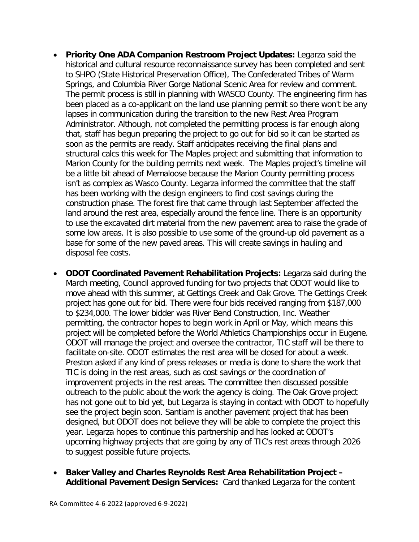- **Priority One ADA Companion Restroom Project Updates:** Legarza said the historical and cultural resource reconnaissance survey has been completed and sent to SHPO (State Historical Preservation Office), The Confederated Tribes of Warm Springs, and Columbia River Gorge National Scenic Area for review and comment. The permit process is still in planning with WASCO County. The engineering firm has been placed as a co-applicant on the land use planning permit so there won't be any lapses in communication during the transition to the new Rest Area Program Administrator. Although, not completed the permitting process is far enough along that, staff has begun preparing the project to go out for bid so it can be started as soon as the permits are ready. Staff anticipates receiving the final plans and structural calcs this week for The Maples project and submitting that information to Marion County for the building permits next week. The Maples project's timeline will be a little bit ahead of Memaloose because the Marion County permitting process isn't as complex as Wasco County. Legarza informed the committee that the staff has been working with the design engineers to find cost savings during the construction phase. The forest fire that came through last September affected the land around the rest area, especially around the fence line. There is an opportunity to use the excavated dirt material from the new pavement area to raise the grade of some low areas. It is also possible to use some of the ground-up old pavement as a base for some of the new paved areas. This will create savings in hauling and disposal fee costs.
- **ODOT Coordinated Pavement Rehabilitation Projects:** Legarza said during the March meeting, Council approved funding for two projects that ODOT would like to move ahead with this summer, at Gettings Creek and Oak Grove. The Gettings Creek project has gone out for bid. There were four bids received ranging from \$187,000 to \$234,000. The lower bidder was River Bend Construction, Inc. Weather permitting, the contractor hopes to begin work in April or May, which means this project will be completed before the World Athletics Championships occur in Eugene. ODOT will manage the project and oversee the contractor, TIC staff will be there to facilitate on-site. ODOT estimates the rest area will be closed for about a week. Preston asked if any kind of press releases or media is done to share the work that TIC is doing in the rest areas, such as cost savings or the coordination of improvement projects in the rest areas. The committee then discussed possible outreach to the public about the work the agency is doing. The Oak Grove project has not gone out to bid yet, but Legarza is staying in contact with ODOT to hopefully see the project begin soon. Santiam is another pavement project that has been designed, but ODOT does not believe they will be able to complete the project this year. Legarza hopes to continue this partnership and has looked at ODOT's upcoming highway projects that are going by any of TIC's rest areas through 2026 to suggest possible future projects.
- **Baker Valley and Charles Reynolds Rest Area Rehabilitation Project – Additional Pavement Design Services:** Card thanked Legarza for the content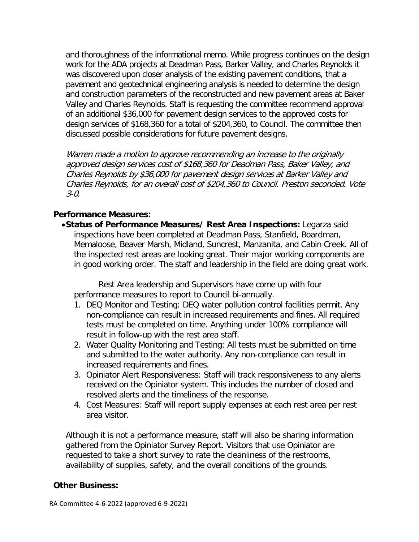and thoroughness of the informational memo. While progress continues on the design work for the ADA projects at Deadman Pass, Barker Valley, and Charles Reynolds it was discovered upon closer analysis of the existing pavement conditions, that a pavement and geotechnical engineering analysis is needed to determine the design and construction parameters of the reconstructed and new pavement areas at Baker Valley and Charles Reynolds. Staff is requesting the committee recommend approval of an additional \$36,000 for pavement design services to the approved costs for design services of \$168,360 for a total of \$204,360, to Council. The committee then discussed possible considerations for future pavement designs.

Warren made a motion to approve recommending an increase to the originally approved design services cost of \$168,360 for Deadman Pass, Baker Valley, and Charles Reynolds by \$36,000 for pavement design services at Barker Valley and Charles Reynolds, for an overall cost of \$204,360 to Council. Preston seconded. Vote 3-0.

### **Performance Measures:**

•**Status of Performance Measures/ Rest Area Inspections:** Legarza said inspections have been completed at Deadman Pass, Stanfield, Boardman, Memaloose, Beaver Marsh, Midland, Suncrest, Manzanita, and Cabin Creek. All of the inspected rest areas are looking great. Their major working components are in good working order. The staff and leadership in the field are doing great work.

Rest Area leadership and Supervisors have come up with four performance measures to report to Council bi-annually.

- 1. DEQ Monitor and Testing: DEQ water pollution control facilities permit. Any non-compliance can result in increased requirements and fines. All required tests must be completed on time. Anything under 100% compliance will result in follow-up with the rest area staff.
- 2. Water Quality Monitoring and Testing: All tests must be submitted on time and submitted to the water authority. Any non-compliance can result in increased requirements and fines.
- 3. Opiniator Alert Responsiveness: Staff will track responsiveness to any alerts received on the Opiniator system. This includes the number of closed and resolved alerts and the timeliness of the response.
- 4. Cost Measures: Staff will report supply expenses at each rest area per rest area visitor.

Although it is not a performance measure, staff will also be sharing information gathered from the Opiniator Survey Report. Visitors that use Opiniator are requested to take a short survey to rate the cleanliness of the restrooms, availability of supplies, safety, and the overall conditions of the grounds.

### **Other Business:**